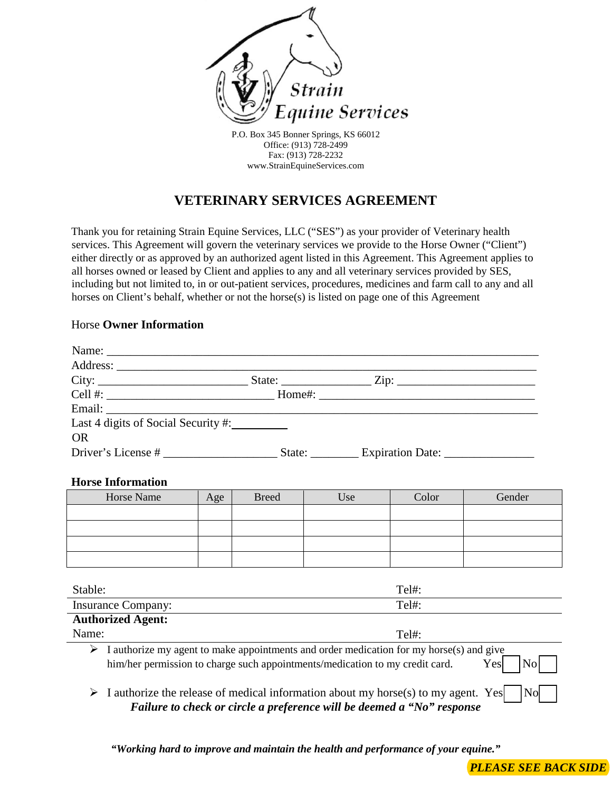

P.O. Box 345 Bonner Springs, KS 66012 Office: (913) 728-2499 Fax: (913) 728-2232 www.StrainEquineServices.com

# **VETERINARY SERVICES AGREEMENT**

Thank you for retaining Strain Equine Services, LLC ("SES") as your provider of Veterinary health services. This Agreement will govern the veterinary services we provide to the Horse Owner ("Client") either directly or as approved by an authorized agent listed in this Agreement. This Agreement applies to all horses owned or leased by Client and applies to any and all veterinary services provided by SES, including but not limited to, in or out-patient services, procedures, medicines and farm call to any and all horses on Client's behalf, whether or not the horse(s) is listed on page one of this Agreement

## Horse **Owner Information**

| City:                               |                         |  |
|-------------------------------------|-------------------------|--|
|                                     |                         |  |
|                                     |                         |  |
| Last 4 digits of Social Security #: |                         |  |
| <b>OR</b>                           |                         |  |
| Driver's License #                  | State: Expiration Date: |  |

### **Horse Information**

| Horse Name | Age | <b>Breed</b> | Use | Color | Gender |
|------------|-----|--------------|-----|-------|--------|
|            |     |              |     |       |        |
|            |     |              |     |       |        |
|            |     |              |     |       |        |
|            |     |              |     |       |        |

| Stable:                                                                      | $Tel#$ :                                                                                               |
|------------------------------------------------------------------------------|--------------------------------------------------------------------------------------------------------|
| <b>Insurance Company:</b>                                                    | $Tell#$ :                                                                                              |
| <b>Authorized Agent:</b>                                                     |                                                                                                        |
| Name:                                                                        | $Tel#$ :                                                                                               |
| him/her permission to charge such appointments/medication to my credit card. | I authorize my agent to make appointments and order medication for my horse(s) and give<br>Yesl<br>Nol |
|                                                                              |                                                                                                        |

 $\triangleright$  I authorize the release of medical information about my horse(s) to my agent. Yes  $\vert$  No *Failure to check or circle a preference will be deemed a "No" response* 

*"Working hard to improve and maintain the health and performance of your equine."*